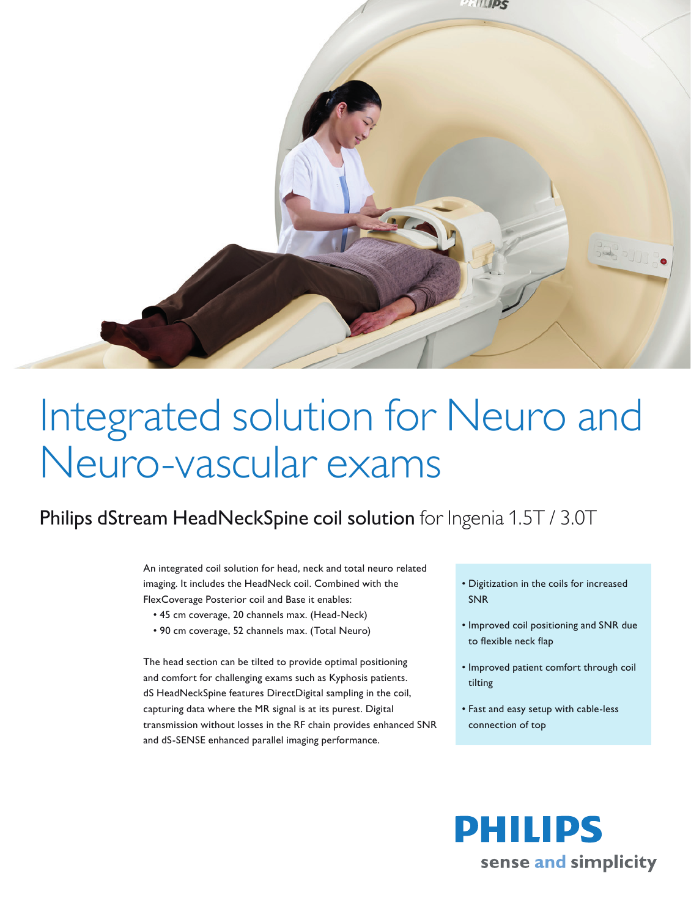

## Integrated solution for Neuro and Neuro-vascular exams

## Philips dStream HeadNeckSpine coil solution for Ingenia 1.5T / 3.0T

An integrated coil solution for head, neck and total neuro related imaging. It includes the HeadNeck coil. Combined with the FlexCoverage Posterior coil and Base it enables:

- 45 cm coverage, 20 channels max. (Head-Neck)
- • 90 cm coverage, 52 channels max. (Total Neuro)

The head section can be tilted to provide optimal positioning and comfort for challenging exams such as Kyphosis patients. dS HeadNeckSpine features DirectDigital sampling in the coil, capturing data where the MR signal is at its purest. Digital transmission without losses in the RF chain provides enhanced SNR and dS-SENSE enhanced parallel imaging performance.

- • Digitization in the coils for increased SNR
- • Improved coil positioning and SNR due to flexible neck flap
- • Improved patient comfort through coil tilting
- • Fast and easy setup with cable-less connection of top